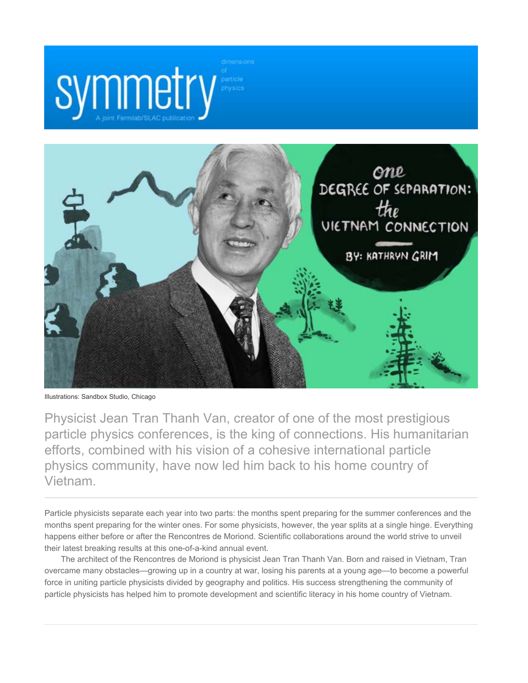



Illustrations: Sandbox Studio, Chicago

Physicist Jean Tran Thanh Van, creator of one of the most prestigious particle physics conferences, is the king of connections. His humanitarian efforts, combined with his vision of a cohesive international particle physics community, have now led him back to his home country of Vietnam.

Particle physicists separate each year into two parts: the months spent preparing for the summer conferences and the months spent preparing for the winter ones. For some physicists, however, the year splits at a single hinge. Everything happens either before or after the Rencontres de Moriond. Scientific collaborations around the world strive to unveil their latest breaking results at this one-of-a-kind annual event.

The architect of the Rencontres de Moriond is physicist Jean Tran Thanh Van. Born and raised in Vietnam, Tran overcame many obstacles—growing up in a country at war, losing his parents at a young age—to become a powerful force in uniting particle physicists divided by geography and politics. His success strengthening the community of particle physicists has helped him to promote development and scientific literacy in his home country of Vietnam.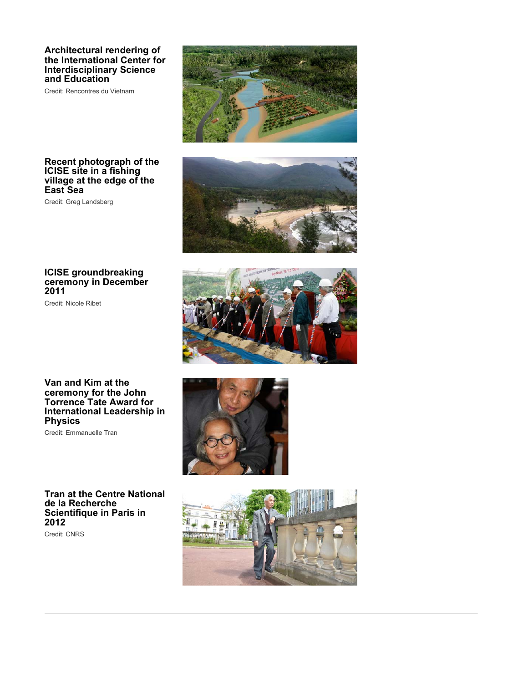### **Architectural rendering of the International Center for Interdisciplinary Science and Education**

Credit: Rencontres du Vietnam



### **Recent photograph of the ICISE site in a fishing village at the edge of the East Sea**

Credit: Greg Landsberg



Credit: Nicole Ribet





**Van and Kim at the ceremony for the John Torrence Tate Award for International Leadership in Physics**

Credit: Emmanuelle Tran

**Tran at the Centre National de la Recherche Scientifique in Paris in 2012**

Credit: CNRS



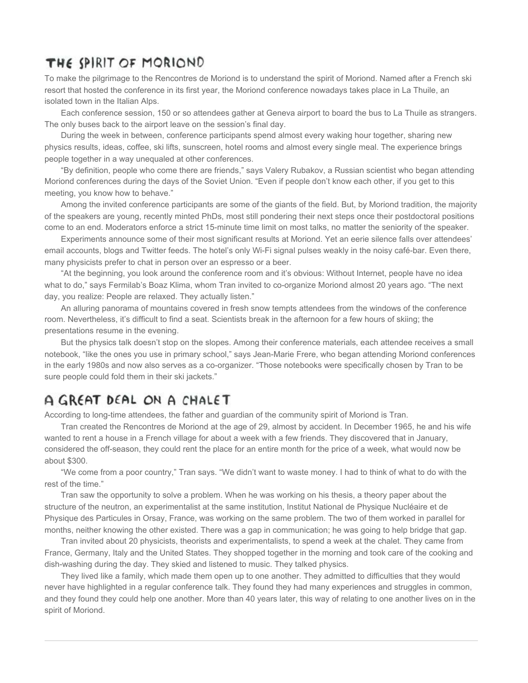### THE SPIRIT OF MORIOND

To make the pilgrimage to the Rencontres de Moriond is to understand the spirit of Moriond. Named after a French ski resort that hosted the conference in its first year, the Moriond conference nowadays takes place in La Thuile, an isolated town in the Italian Alps.

Each conference session, 150 or so attendees gather at Geneva airport to board the bus to La Thuile as strangers. The only buses back to the airport leave on the session's final day.

During the week in between, conference participants spend almost every waking hour together, sharing new physics results, ideas, coffee, ski lifts, sunscreen, hotel rooms and almost every single meal. The experience brings people together in a way unequaled at other conferences.

"By definition, people who come there are friends," says Valery Rubakov, a Russian scientist who began attending Moriond conferences during the days of the Soviet Union. "Even if people don't know each other, if you get to this meeting, you know how to behave."

Among the invited conference participants are some of the giants of the field. But, by Moriond tradition, the majority of the speakers are young, recently minted PhDs, most still pondering their next steps once their postdoctoral positions come to an end. Moderators enforce a strict 15-minute time limit on most talks, no matter the seniority of the speaker.

Experiments announce some of their most significant results at Moriond. Yet an eerie silence falls over attendees' email accounts, blogs and Twitter feeds. The hotel's only Wi-Fi signal pulses weakly in the noisy café-bar. Even there, many physicists prefer to chat in person over an espresso or a beer.

"At the beginning, you look around the conference room and it's obvious: Without Internet, people have no idea what to do," says Fermilab's Boaz Klima, whom Tran invited to co-organize Moriond almost 20 years ago. "The next day, you realize: People are relaxed. They actually listen."

An alluring panorama of mountains covered in fresh snow tempts attendees from the windows of the conference room. Nevertheless, it's difficult to find a seat. Scientists break in the afternoon for a few hours of skiing; the presentations resume in the evening.

But the physics talk doesn't stop on the slopes. Among their conference materials, each attendee receives a small notebook, "like the ones you use in primary school," says Jean-Marie Frere, who began attending Moriond conferences in the early 1980s and now also serves as a co-organizer. "Those notebooks were specifically chosen by Tran to be sure people could fold them in their ski jackets."

### A GREAT DEAL ON A CHALET

According to long-time attendees, the father and guardian of the community spirit of Moriond is Tran.

Tran created the Rencontres de Moriond at the age of 29, almost by accident. In December 1965, he and his wife wanted to rent a house in a French village for about a week with a few friends. They discovered that in January, considered the off-season, they could rent the place for an entire month for the price of a week, what would now be about \$300.

"We come from a poor country," Tran says. "We didn't want to waste money. I had to think of what to do with the rest of the time."

Tran saw the opportunity to solve a problem. When he was working on his thesis, a theory paper about the structure of the neutron, an experimentalist at the same institution, Institut National de Physique Nucléaire et de Physique des Particules in Orsay, France, was working on the same problem. The two of them worked in parallel for months, neither knowing the other existed. There was a gap in communication; he was going to help bridge that gap.

Tran invited about 20 physicists, theorists and experimentalists, to spend a week at the chalet. They came from France, Germany, Italy and the United States. They shopped together in the morning and took care of the cooking and dish-washing during the day. They skied and listened to music. They talked physics.

They lived like a family, which made them open up to one another. They admitted to difficulties that they would never have highlighted in a regular conference talk. They found they had many experiences and struggles in common, and they found they could help one another. More than 40 years later, this way of relating to one another lives on in the spirit of Moriond.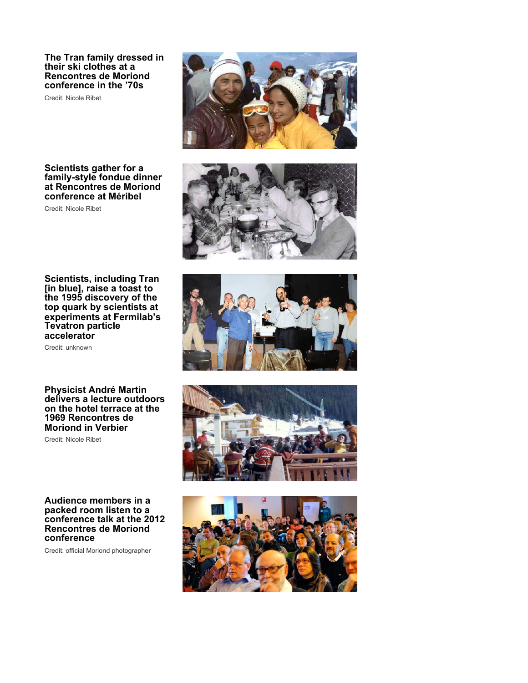**The Tran family dressed in their ski clothes at a Rencontres de Moriond conference in the '70s**

Credit: Nicole Ribet



Credit: Nicole Ribet

**Scientists, including Tran [in blue], raise a toast to the 1995 discovery of the top quark by scientists at experiments at Fermilab's Tevatron particle accelerator**

Credit: unknown

#### **Physicist André Martin delivers a lecture outdoors on the hotel terrace at the 1969 Rencontres de Moriond in Verbier**

Credit: Nicole Ribet

#### **Audience members in a packed room listen to a conference talk at the 2012 Rencontres de Moriond conference**

Credit: official Moriond photographer







![](_page_3_Picture_13.jpeg)

![](_page_3_Picture_14.jpeg)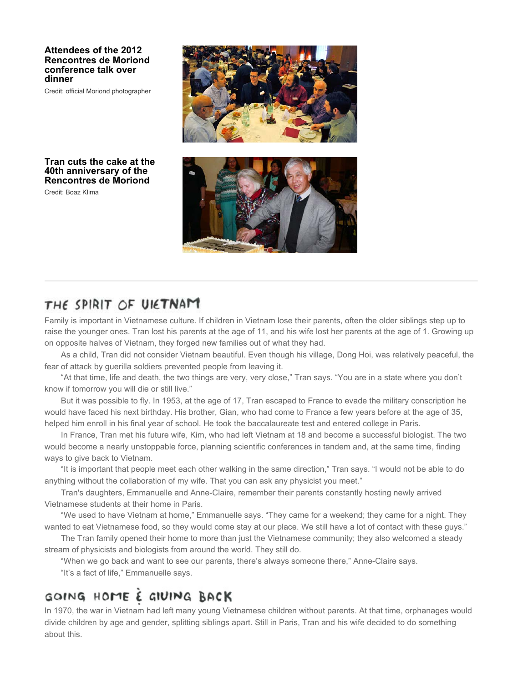### **Attendees of the 2012 Rencontres de Moriond conference talk over dinner**

Credit: official Moriond photographer

![](_page_4_Picture_2.jpeg)

### **Tran cuts the cake at the 40th anniversary of the Rencontres de Moriond**

Credit: Boaz Klima

![](_page_4_Picture_5.jpeg)

### THE SPIRIT OF UIETNAM

Family is important in Vietnamese culture. If children in Vietnam lose their parents, often the older siblings step up to raise the younger ones. Tran lost his parents at the age of 11, and his wife lost her parents at the age of 1. Growing up on opposite halves of Vietnam, they forged new families out of what they had.

As a child, Tran did not consider Vietnam beautiful. Even though his village, Dong Hoi, was relatively peaceful, the fear of attack by guerilla soldiers prevented people from leaving it.

"At that time, life and death, the two things are very, very close," Tran says. "You are in a state where you don't know if tomorrow you will die or still live."

But it was possible to fly. In 1953, at the age of 17, Tran escaped to France to evade the military conscription he would have faced his next birthday. His brother, Gian, who had come to France a few years before at the age of 35, helped him enroll in his final year of school. He took the baccalaureate test and entered college in Paris.

In France, Tran met his future wife, Kim, who had left Vietnam at 18 and become a successful biologist. The two would become a nearly unstoppable force, planning scientific conferences in tandem and, at the same time, finding ways to give back to Vietnam.

"It is important that people meet each other walking in the same direction," Tran says. "I would not be able to do anything without the collaboration of my wife. That you can ask any physicist you meet."

Tran's daughters, Emmanuelle and Anne-Claire, remember their parents constantly hosting newly arrived Vietnamese students at their home in Paris.

"We used to have Vietnam at home," Emmanuelle says. "They came for a weekend; they came for a night. They wanted to eat Vietnamese food, so they would come stay at our place. We still have a lot of contact with these guys."

The Tran family opened their home to more than just the Vietnamese community; they also welcomed a steady stream of physicists and biologists from around the world. They still do.

"When we go back and want to see our parents, there's always someone there," Anne-Claire says.

"It's a fact of life," Emmanuelle says.

# GOING HOME È GIVING BACK

In 1970, the war in Vietnam had left many young Vietnamese children without parents. At that time, orphanages would divide children by age and gender, splitting siblings apart. Still in Paris, Tran and his wife decided to do something about this.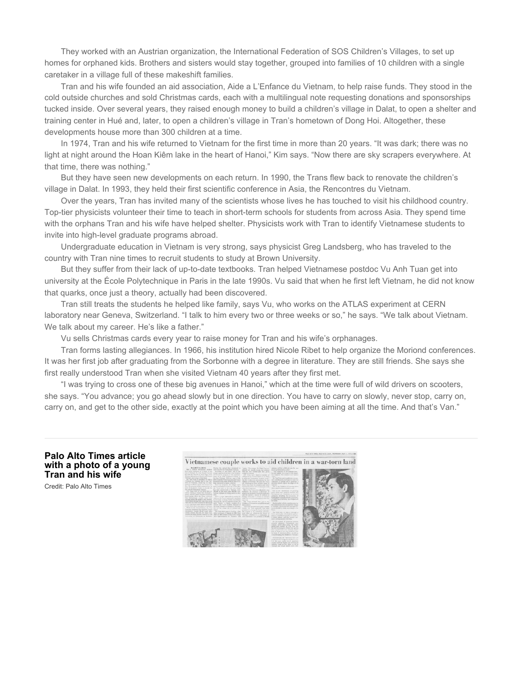They worked with an Austrian organization, the International Federation of SOS Children's Villages, to set up homes for orphaned kids. Brothers and sisters would stay together, grouped into families of 10 children with a single caretaker in a village full of these makeshift families.

Tran and his wife founded an aid association, Aide a L'Enfance du Vietnam, to help raise funds. They stood in the cold outside churches and sold Christmas cards, each with a multilingual note requesting donations and sponsorships tucked inside. Over several years, they raised enough money to build a children's village in Dalat, to open a shelter and training center in Hué and, later, to open a children's village in Tran's hometown of Dong Hoi. Altogether, these developments house more than 300 children at a time.

In 1974, Tran and his wife returned to Vietnam for the first time in more than 20 years. "It was dark; there was no light at night around the Hoan Kiêm lake in the heart of Hanoi," Kim says. "Now there are sky scrapers everywhere. At that time, there was nothing."

But they have seen new developments on each return. In 1990, the Trans flew back to renovate the children's village in Dalat. In 1993, they held their first scientific conference in Asia, the Rencontres du Vietnam.

Over the years, Tran has invited many of the scientists whose lives he has touched to visit his childhood country. Top-tier physicists volunteer their time to teach in short-term schools for students from across Asia. They spend time with the orphans Tran and his wife have helped shelter. Physicists work with Tran to identify Vietnamese students to invite into high-level graduate programs abroad.

Undergraduate education in Vietnam is very strong, says physicist Greg Landsberg, who has traveled to the country with Tran nine times to recruit students to study at Brown University.

But they suffer from their lack of up-to-date textbooks. Tran helped Vietnamese postdoc Vu Anh Tuan get into university at the École Polytechnique in Paris in the late 1990s. Vu said that when he first left Vietnam, he did not know that quarks, once just a theory, actually had been discovered.

Tran still treats the students he helped like family, says Vu, who works on the ATLAS experiment at CERN laboratory near Geneva, Switzerland. "I talk to him every two or three weeks or so," he says. "We talk about Vietnam. We talk about my career. He's like a father."

Vu sells Christmas cards every year to raise money for Tran and his wife's orphanages.

Tran forms lasting allegiances. In 1966, his institution hired Nicole Ribet to help organize the Moriond conferences. It was her first job after graduating from the Sorbonne with a degree in literature. They are still friends. She says she first really understood Tran when she visited Vietnam 40 years after they first met.

"I was trying to cross one of these big avenues in Hanoi," which at the time were full of wild drivers on scooters, she says. "You advance; you go ahead slowly but in one direction. You have to carry on slowly, never stop, carry on, carry on, and get to the other side, exactly at the point which you have been aiming at all the time. And that's Van."

**Palo Alto Times article with a photo of a young Tran and his wife**

Credit: Palo Alto Times

![](_page_5_Picture_13.jpeg)

![](_page_5_Picture_14.jpeg)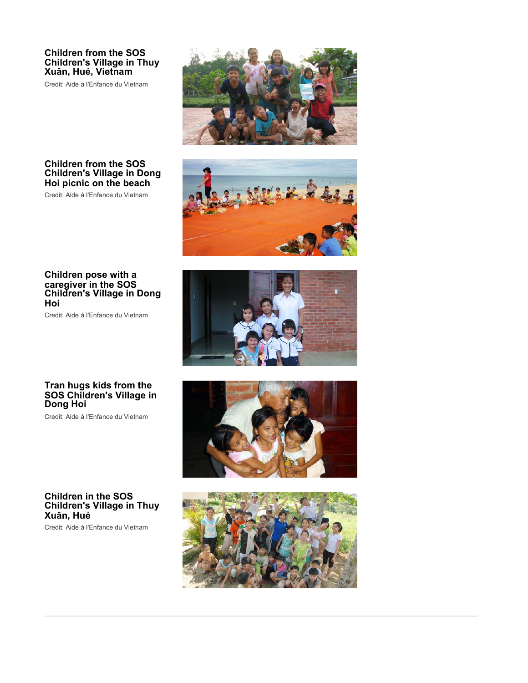### **Children from the SOS Children's Village in Thuy Xuân, Hué, Vietnam**

Credit: Aide a l'Enfance du Vietnam

![](_page_6_Picture_2.jpeg)

### **Children from the SOS Children's Village in Dong Hoi picnic on the beach**

Credit: Aide à l'Enfance du Vietnam

![](_page_6_Picture_5.jpeg)

### **Children pose with a caregiver in the SOS Children's Village in Dong Hoi**

Credit: Aide à l'Enfance du Vietnam

![](_page_6_Picture_8.jpeg)

### **Tran hugs kids from the SOS Children's Village in Dong Hoi**

Credit: Aide à l'Enfance du Vietnam

### **Children in the SOS Children's Village in Thuy Xuân, Hué**

Credit: Aide à l'Enfance du Vietnam

![](_page_6_Picture_13.jpeg)

![](_page_6_Picture_14.jpeg)